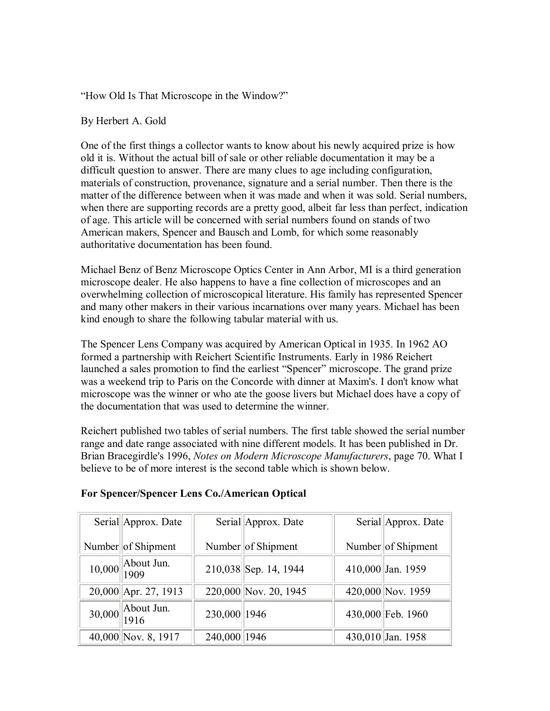"How Old Is That Microscope in the Window?"

#### By Herbert A. Gold

One of the first things a collector wants to know about his newly acquired prize is how old it is. Without the actual bill of sale or other reliable documentation it may be a difficult question to answer. There are many clues to age including configuration, materials of construction, provenance, signature and a serial number. Then there is the matter of the difference between when it was made and when it was sold. Serial numbers, when there are supporting records are a pretty good, albeit far less than perfect, indication of age. This article will be concerned with serial numbers found on stands of two American makers, Spencer and Bausch and Lomb, for which some reasonably authoritative documentation has been found.

Michael Benz of Benz Microscope Optics Center in Ann Arbor, MI is a third generation microscope dealer. He also happens to have a fine collection of microscopes and an overwhelming collection of microscopical literature. His family has represented Spencer and many other makers in their various incarnations over many years. Michael has been kind enough to share the following tabular material with us.

The Spencer Lens Company was acquired by American Optical in 1935. In 1962 AO formed a partnership with Reichert Scientific Instruments. Early in 1986 Reichert launched a sales promotion to find the earliest "Spencer" microscope. The grand prize was a weekend trip to Paris on the Concorde with dinner at Maxim's. I don't know what microscope was the winner or who ate the goose livers but Michael does have a copy of the documentation that was used to determine the winner.

Reichert published two tables of serial numbers. The first table showed the serial number range and date range associated with nine different models. It has been published in Dr. Brian Bracegirdle's 1996, *Notes on Modern Microscope Manufacturers*, page 70. What I believe to be of more interest is the second table which is shown below.

| Serial Approx. Date      | Serial Approx. Date |                       | Serial Approx. Date |
|--------------------------|---------------------|-----------------------|---------------------|
| Number of Shipment       |                     | Number of Shipment    | Number of Shipment  |
| $10,000$ About Jun.      |                     | 210,038 Sep. 14, 1944 | 410,000 Jan. 1959   |
| $20,000$   Apr. 27, 1913 |                     | 220,000 Nov. 20, 1945 | 420,000 Nov. 1959   |
| 30,000 About Jun.        | 230,000 1946        |                       | 430,000 Feb. 1960   |
| 40,000 Nov. 8, 1917      | 240,000 1946        |                       | 430,010 Jan. 1958   |

#### **For Spencer/Spencer Lens Co./American Optical**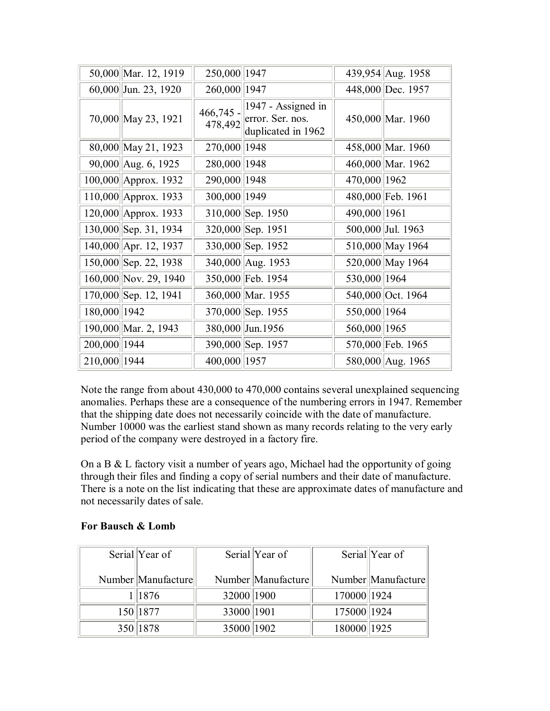|              | 50,000 Mar. 12, 1919     | 250,000 1947 |                                                                                    |              | 439,954 Aug. 1958 |
|--------------|--------------------------|--------------|------------------------------------------------------------------------------------|--------------|-------------------|
|              | 60,000 Jun. 23, 1920     | 260,000 1947 |                                                                                    |              | 448,000 Dec. 1957 |
|              | 70,000 May 23, 1921      |              | 466,745 - $1947 -$ Assigned in<br>$478,492$ error. Ser. nos.<br>duplicated in 1962 |              | 450,000 Mar. 1960 |
|              | 80,000 May 21, 1923      | 270,000 1948 |                                                                                    |              | 458,000 Mar. 1960 |
|              | 90,000 Aug. 6, 1925      | 280,000 1948 |                                                                                    |              | 460,000 Mar. 1962 |
|              | 100,000 Approx. 1932     | 290,000 1948 |                                                                                    | 470,000 1962 |                   |
|              | $110,000$   Approx. 1933 | 300,000 1949 |                                                                                    |              | 480,000 Feb. 1961 |
|              | 120,000 Approx. 1933     |              | 310,000 Sep. 1950                                                                  | 490,000 1961 |                   |
|              | 130,000 Sep. 31, 1934    |              | 320,000 Sep. 1951                                                                  |              | 500,000 Jul. 1963 |
|              | 140,000 Apr. 12, 1937    |              | 330,000 Sep. 1952                                                                  |              | 510,000 May 1964  |
|              | 150,000 Sep. 22, 1938    |              | 340,000 Aug. 1953                                                                  |              | 520,000 May 1964  |
|              | 160,000 Nov. 29, 1940    |              | 350,000 Feb. 1954                                                                  | 530,000 1964 |                   |
|              | 170,000 Sep. 12, 1941    |              | 360,000 Mar. 1955                                                                  |              | 540,000 Oct. 1964 |
| 180,000 1942 |                          |              | 370,000 Sep. 1955                                                                  | 550,000 1964 |                   |
|              | 190,000 Mar. 2, 1943     |              | 380,000 Jun. 1956                                                                  | 560,000 1965 |                   |
| 200,000 1944 |                          |              | 390,000 Sep. 1957                                                                  |              | 570,000 Feb. 1965 |
| 210,000 1944 |                          | 400,000 1957 |                                                                                    |              | 580,000 Aug. 1965 |

Note the range from about 430,000 to 470,000 contains several unexplained sequencing anomalies. Perhaps these are a consequence of the numbering errors in 1947. Remember that the shipping date does not necessarily coincide with the date of manufacture. Number 10000 was the earliest stand shown as many records relating to the very early period of the company were destroyed in a factory fire.

On a B & L factory visit a number of years ago, Michael had the opportunity of going through their files and finding a copy of serial numbers and their date of manufacture. There is a note on the list indicating that these are approximate dates of manufacture and not necessarily dates of sale.

| For Bausch & Lomb |  |  |
|-------------------|--|--|
|                   |  |  |

| Serial Year of      |            | Serial Year of      |             | Serial Year of      |
|---------------------|------------|---------------------|-------------|---------------------|
| Number  Manufacture |            | Number  Manufacture |             | Number  Manufacture |
| 1   1876            | 32000 1900 |                     | 170000 1924 |                     |
| 150 1877            | 33000 1901 |                     | 175000 1924 |                     |
| 350 1878            | 35000 1902 |                     | 180000 1925 |                     |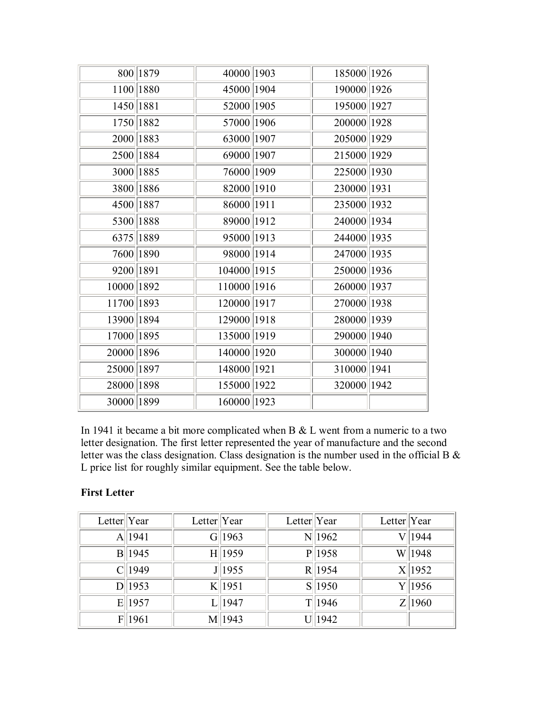|            | 800 1879    | 40000 1903  | 185000 1926 |  |
|------------|-------------|-------------|-------------|--|
|            | 1100 1880   | 45000 1904  | 190000 1926 |  |
|            | 1450   1881 | 52000 1905  | 195000 1927 |  |
|            | 1750 1882   | 57000 1906  | 200000 1928 |  |
|            | 2000 1883   | 63000 1907  | 205000 1929 |  |
|            | 2500 1884   | 69000 1907  | 215000 1929 |  |
|            | 3000 1885   | 76000 1909  | 225000 1930 |  |
|            | 3800 1886   | 82000 1910  | 230000 1931 |  |
|            | 4500 1887   | 86000 1911  | 235000 1932 |  |
|            | 5300 1888   | 89000 1912  | 240000 1934 |  |
|            | 6375 1889   | 95000 1913  | 244000 1935 |  |
|            | 7600 1890   | 98000 1914  | 247000 1935 |  |
| 9200 1891  |             | 104000 1915 | 250000 1936 |  |
| 10000 1892 |             | 110000 1916 | 260000 1937 |  |
| 11700 1893 |             | 120000 1917 | 270000 1938 |  |
| 13900 1894 |             | 129000 1918 | 280000 1939 |  |
| 17000 1895 |             | 135000 1919 | 290000 1940 |  |
| 20000 1896 |             | 140000 1920 | 300000 1940 |  |
| 25000 1897 |             | 148000 1921 | 310000 1941 |  |
| 28000 1898 |             | 155000 1922 | 320000 1942 |  |
| 30000 1899 |             | 160000 1923 |             |  |

In 1941 it became a bit more complicated when B  $&$  L went from a numeric to a two letter designation. The first letter represented the year of manufacture and the second letter was the class designation. Class designation is the number used in the official B & L price list for roughly similar equipment. See the table below.

### **First Letter**

| Letter $ Year $ |            | Letter $ Year $ |            | Letter  Year |            | Letter $ Year $ |            |
|-----------------|------------|-----------------|------------|--------------|------------|-----------------|------------|
|                 | A  1941    |                 | G  1963    |              | $N$   1962 |                 | 1944       |
|                 | B  1945    |                 | H  1959    |              | $P$  1958  |                 | W 1948     |
|                 | $C$   1949 |                 | $J$  1955  |              | R 1954     |                 | $X$   1952 |
|                 | $D$   1953 |                 | $K$  1951  |              | $S$   1950 |                 | Y  1956    |
|                 | $E$   1957 |                 | $L$   1947 |              | T  1946    |                 | $Z$   1960 |
|                 | F 1961     |                 | M  1943    |              | U  1942    |                 |            |